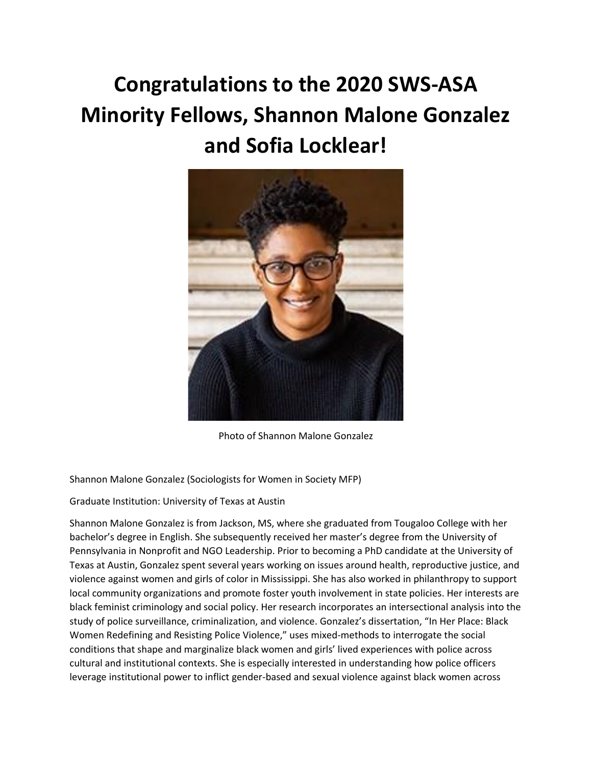## **Congratulations to the 2020 SWS-ASA Minority Fellows, Shannon Malone Gonzalez and Sofia Locklear!**



Photo of Shannon Malone Gonzalez

Shannon Malone Gonzalez (Sociologists for Women in Society MFP)

Graduate Institution: University of Texas at Austin

Shannon Malone Gonzalez is from Jackson, MS, where she graduated from Tougaloo College with her bachelor's degree in English. She subsequently received her master's degree from the University of Pennsylvania in Nonprofit and NGO Leadership. Prior to becoming a PhD candidate at the University of Texas at Austin, Gonzalez spent several years working on issues around health, reproductive justice, and violence against women and girls of color in Mississippi. She has also worked in philanthropy to support local community organizations and promote foster youth involvement in state policies. Her interests are black feminist criminology and social policy. Her research incorporates an intersectional analysis into the study of police surveillance, criminalization, and violence. Gonzalez's dissertation, "In Her Place: Black Women Redefining and Resisting Police Violence," uses mixed-methods to interrogate the social conditions that shape and marginalize black women and girls' lived experiences with police across cultural and institutional contexts. She is especially interested in understanding how police officers leverage institutional power to inflict gender-based and sexual violence against black women across